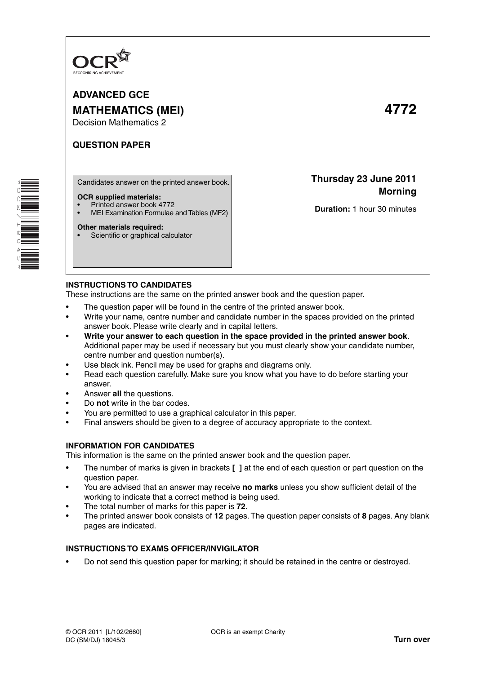

**ADVANCED GCE MATHEMATICS (MEI) 4772** Decision Mathematics 2

# **QUESTION PAPER**

\*OCE/18045\* **THE REAL PROPERTY**  Candidates answer on the printed answer book.

#### **OCR supplied materials:**

- Printed answer book 4772
- MEI Examination Formulae and Tables (MF2)

**Other materials required:**

Scientific or graphical calculator

**Thursday 23 June 2011 Morning**

**Duration:** 1 hour 30 minutes

## **INSTRUCTIONS TO CANDIDATES**

These instructions are the same on the printed answer book and the question paper.

- The question paper will be found in the centre of the printed answer book.
- Write your name, centre number and candidate number in the spaces provided on the printed answer book. Please write clearly and in capital letters.
- **Write your answer to each question in the space provided in the printed answer book**. Additional paper may be used if necessary but you must clearly show your candidate number, centre number and question number(s).
- Use black ink. Pencil may be used for graphs and diagrams only.
- Read each question carefully. Make sure you know what you have to do before starting your answer.
- Answer **all** the questions.
- Do **not** write in the bar codes.
- You are permitted to use a graphical calculator in this paper.
- Final answers should be given to a degree of accuracy appropriate to the context.

### **INFORMATION FOR CANDIDATES**

This information is the same on the printed answer book and the question paper.

- The number of marks is given in brackets **[ ]** at the end of each question or part question on the question paper.
- You are advised that an answer may receive **no marks** unless you show sufficient detail of the working to indicate that a correct method is being used.
- The total number of marks for this paper is **72**.
- The printed answer book consists of **12** pages. The question paper consists of **8** pages. Any blank pages are indicated.

### **INSTRUCTIONS TO EXAMS OFFICER/INVIGILATOR**

• Do not send this question paper for marking; it should be retained in the centre or destroyed.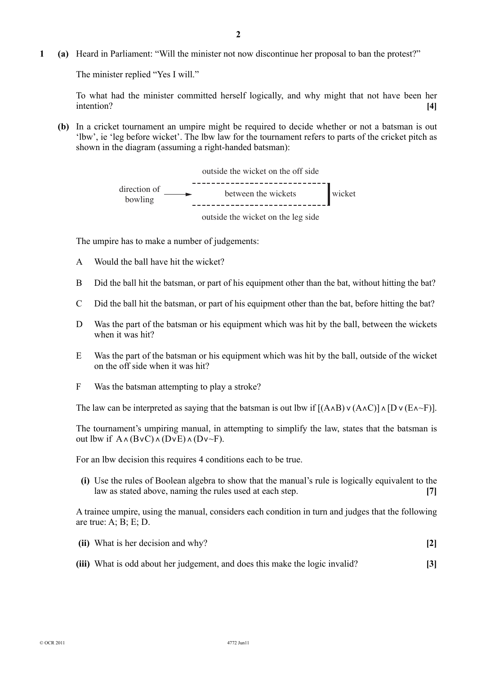**1 (a)** Heard in Parliament: "Will the minister not now discontinue her proposal to ban the protest?"

The minister replied "Yes I will."

To what had the minister committed herself logically, and why might that not have been her intention? **[4]**

**(b)** In a cricket tournament an umpire might be required to decide whether or not a batsman is out 'lbw', ie 'leg before wicket'. The lbw law for the tournament refers to parts of the cricket pitch as shown in the diagram (assuming a right-handed batsman):



The umpire has to make a number of judgements:

- A Would the ball have hit the wicket?
- B Did the ball hit the batsman, or part of his equipment other than the bat, without hitting the bat?
- C Did the ball hit the batsman, or part of his equipment other than the bat, before hitting the bat?
- D Was the part of the batsman or his equipment which was hit by the ball, between the wickets when it was hit?
- E Was the part of the batsman or his equipment which was hit by the ball, outside of the wicket on the off side when it was hit?
- F Was the batsman attempting to play a stroke?

The law can be interpreted as saying that the batsman is out lbw if [(A∧B) ∨ (A∧C)] ∧ [D ∨ (E∧~F)].

The tournament's umpiring manual, in attempting to simplify the law, states that the batsman is out lbw if  $A \wedge (B \vee C) \wedge (D \vee E) \wedge (D \vee \neg F)$ .

For an lbw decision this requires 4 conditions each to be true.

 **(i)** Use the rules of Boolean algebra to show that the manual's rule is logically equivalent to the law as stated above, naming the rules used at each step. **[7]**

A trainee umpire, using the manual, considers each condition in turn and judges that the following are true:  $A$ ;  $B$ ;  $E$ ;  $D$ .

| (ii) What is her decision and why?                                           |  |
|------------------------------------------------------------------------------|--|
| (iii) What is odd about her judgement, and does this make the logic invalid? |  |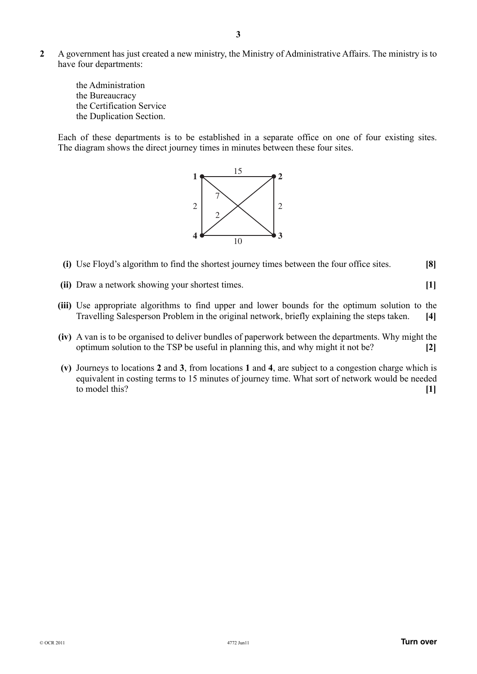**2** A government has just created a new ministry, the Ministry of Administrative Affairs. The ministry is to have four departments:

the Administration the Bureaucracy the Certification Service the Duplication Section.

Each of these departments is to be established in a separate office on one of four existing sites. The diagram shows the direct journey times in minutes between these four sites.



- **(i)** Use Floyd's algorithm to find the shortest journey times between the four office sites. **[8]**
- **(ii)** Draw a network showing your shortest times. **[1]**
- **(iii)** Use appropriate algorithms to find upper and lower bounds for the optimum solution to the Travelling Salesperson Problem in the original network, briefly explaining the steps taken. **[4]**
- **(iv)** A van is to be organised to deliver bundles of paperwork between the departments. Why might the optimum solution to the TSP be useful in planning this, and why might it not be? **[2]**
- **(v)** Journeys to locations **2** and **3**, from locations **1** and **4**, are subject to a congestion charge which is equivalent in costing terms to 15 minutes of journey time. What sort of network would be needed to model this? **[1]**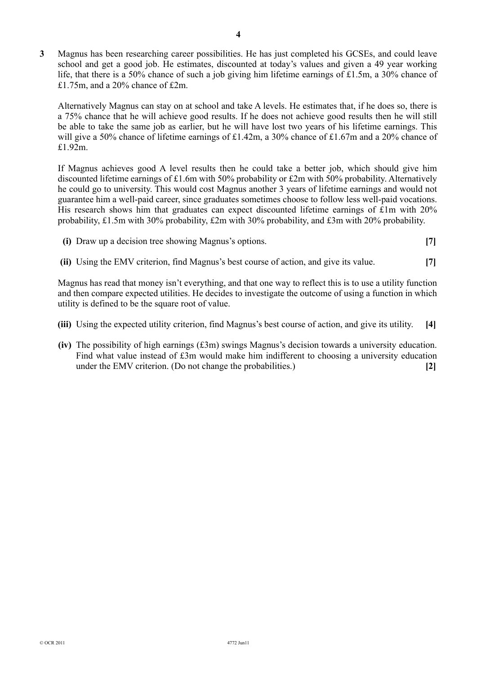**3** Magnus has been researching career possibilities. He has just completed his GCSEs, and could leave school and get a good job. He estimates, discounted at today's values and given a 49 year working life, that there is a 50% chance of such a job giving him lifetime earnings of £1.5m, a 30% chance of £1.75m, and a 20% chance of £2m.

Alternatively Magnus can stay on at school and take A levels. He estimates that, if he does so, there is a 75% chance that he will achieve good results. If he does not achieve good results then he will still be able to take the same job as earlier, but he will have lost two years of his lifetime earnings. This will give a 50% chance of lifetime earnings of £1.42m, a 30% chance of £1.67m and a 20% chance of £1.92m.

If Magnus achieves good A level results then he could take a better job, which should give him discounted lifetime earnings of £1.6m with 50% probability or £2m with 50% probability. Alternatively he could go to university. This would cost Magnus another 3 years of lifetime earnings and would not guarantee him a well-paid career, since graduates sometimes choose to follow less well-paid vocations. His research shows him that graduates can expect discounted lifetime earnings of £1m with 20% probability, £1.5m with 30% probability, £2m with 30% probability, and £3m with 20% probability.

- **(i)** Draw up a decision tree showing Magnus's options. **[7]**
- **(ii)** Using the EMV criterion, find Magnus's best course of action, and give its value. **[7]**

Magnus has read that money isn't everything, and that one way to reflect this is to use a utility function and then compare expected utilities. He decides to investigate the outcome of using a function in which utility is defined to be the square root of value.

- **(iii)** Using the expected utility criterion, find Magnus's best course of action, and give its utility. **[4]**
- **(iv)** The possibility of high earnings (£3m) swings Magnus's decision towards a university education. Find what value instead of £3m would make him indifferent to choosing a university education under the EMV criterion. (Do not change the probabilities.) **[2]**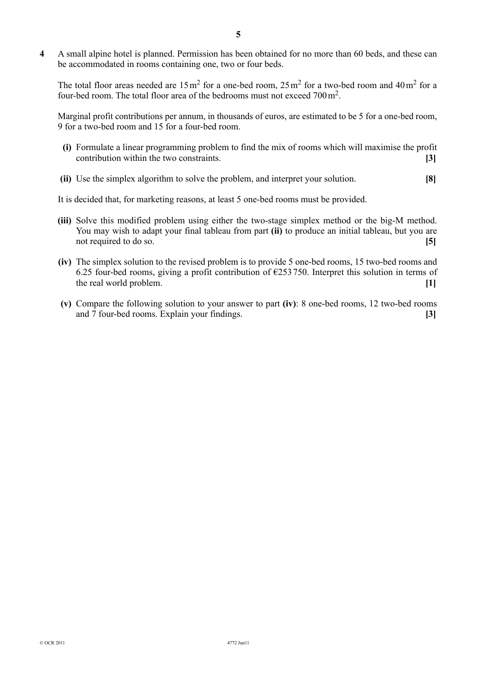**4** A small alpine hotel is planned. Permission has been obtained for no more than 60 beds, and these can be accommodated in rooms containing one, two or four beds.

The total floor areas needed are  $15 \text{ m}^2$  for a one-bed room,  $25 \text{ m}^2$  for a two-bed room and  $40 \text{ m}^2$  for a four-bed room. The total floor area of the bedrooms must not exceed 700 m2.

Marginal profit contributions per annum, in thousands of euros, are estimated to be 5 for a one-bed room, 9 for a two-bed room and 15 for a four-bed room.

- **(i)** Formulate a linear programming problem to find the mix of rooms which will maximise the profit contribution within the two constraints. **[3]**
- **(ii)** Use the simplex algorithm to solve the problem, and interpret your solution. **[8]**
- It is decided that, for marketing reasons, at least 5 one-bed rooms must be provided.
- **(iii)** Solve this modified problem using either the two-stage simplex method or the big-M method. You may wish to adapt your final tableau from part **(ii)** to produce an initial tableau, but you are not required to do so. **[5]**
- **(iv)** The simplex solution to the revised problem is to provide 5 one-bed rooms, 15 two-bed rooms and 6.25 four-bed rooms, giving a profit contribution of  $\epsilon$ 253 750. Interpret this solution in terms of the real world problem. **[1]**
- **(v)** Compare the following solution to your answer to part **(iv)**: 8 one-bed rooms, 12 two-bed rooms and 7 four-bed rooms. Explain your findings. **[3]**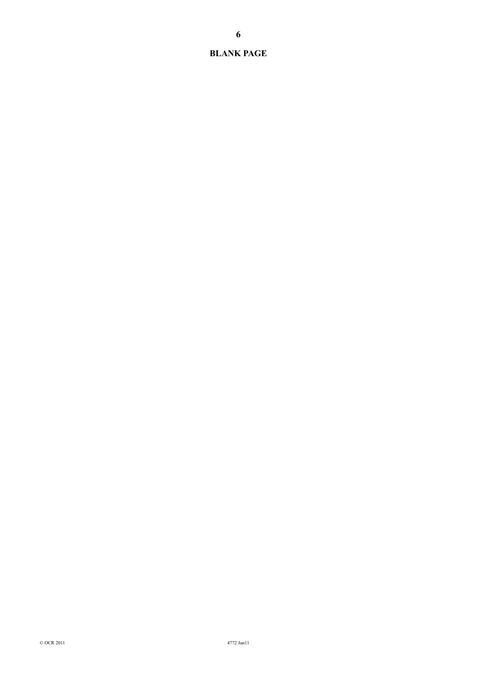## **BLANK PAGE**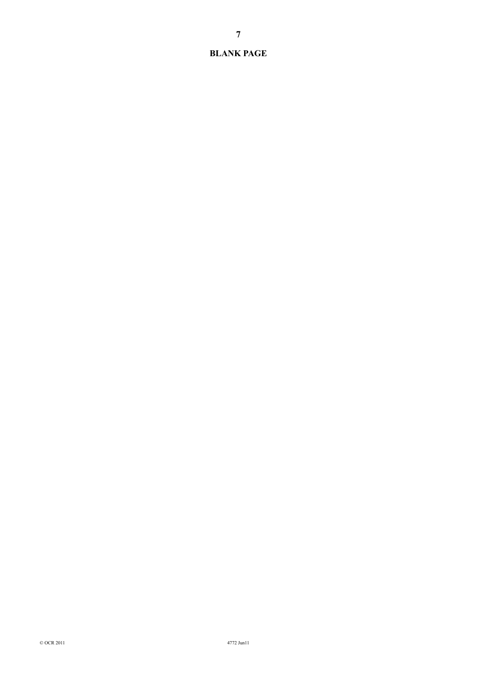## **BLANK PAGE**